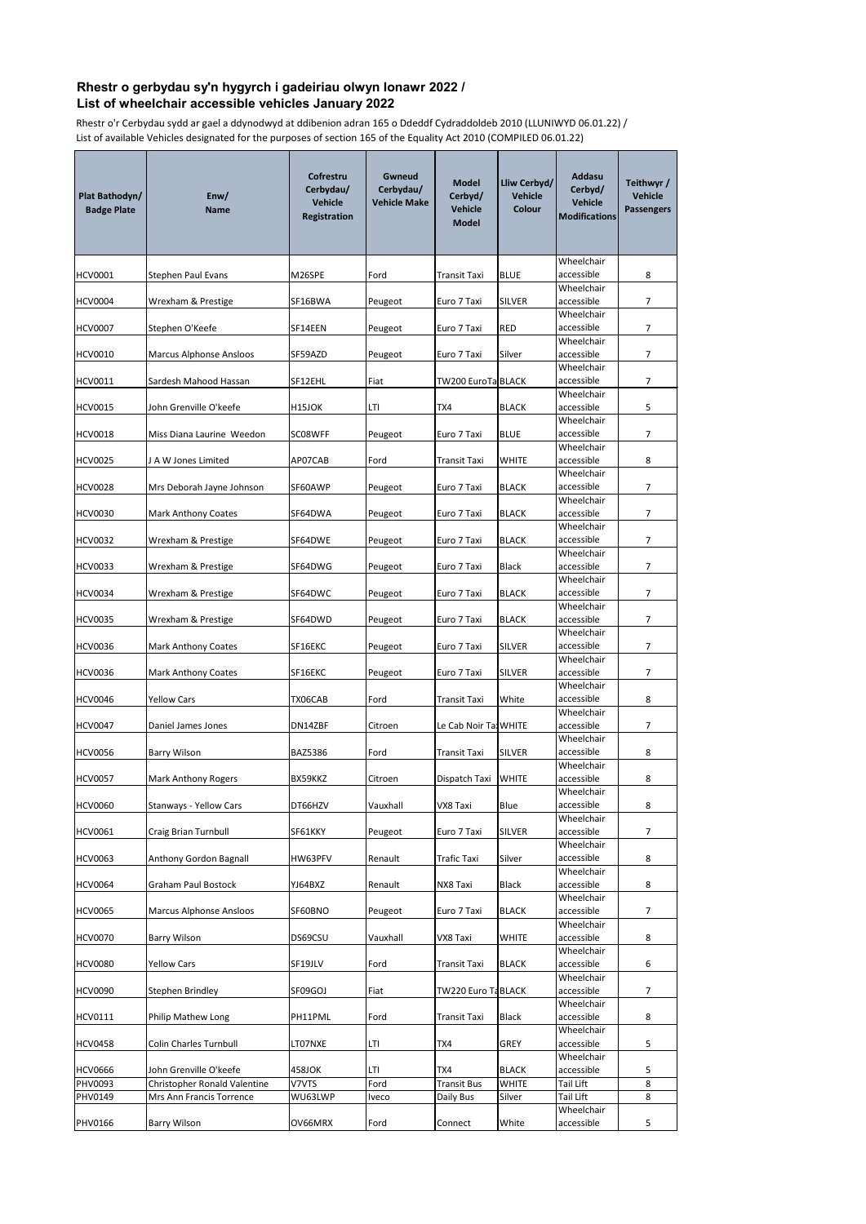| Plat Bathodyn/<br><b>Badge Plate</b> | Enw/<br><b>Name</b>                                      | Cofrestru<br>Cerbydau/<br><b>Vehicle</b><br><b>Registration</b> | <b>Gwneud</b><br>Cerbydau/<br><b>Vehicle Make</b> | <b>Model</b><br>Cerbyd/<br><b>Vehicle</b><br><b>Model</b> | Lliw Cerbyd/<br><b>Vehicle</b><br><b>Colour</b> | <b>Addasu</b><br>Cerbyd/<br><b>Vehicle</b><br><b>Modifications</b> | Teithwyr /<br>Vehicle<br><b>Passengers</b> |
|--------------------------------------|----------------------------------------------------------|-----------------------------------------------------------------|---------------------------------------------------|-----------------------------------------------------------|-------------------------------------------------|--------------------------------------------------------------------|--------------------------------------------|
| HCV0001                              | <b>Stephen Paul Evans</b>                                | M26SPE                                                          | Ford                                              | <b>Transit Taxi</b>                                       | <b>BLUE</b>                                     | Wheelchair<br>accessible                                           | 8                                          |
| <b>HCV0004</b>                       | Wrexham & Prestige                                       | SF16BWA                                                         | Peugeot                                           | Euro 7 Taxi                                               | <b>SILVER</b>                                   | Wheelchair<br>accessible                                           | 7                                          |
| <b>HCV0007</b>                       | Stephen O'Keefe                                          | SF14EEN                                                         | Peugeot                                           | Euro 7 Taxi                                               | <b>RED</b>                                      | Wheelchair<br>accessible                                           | 7                                          |
| <b>HCV0010</b>                       |                                                          |                                                                 |                                                   |                                                           |                                                 | Wheelchair<br>accessible                                           | $\overline{7}$                             |
|                                      | <b>Marcus Alphonse Ansloos</b>                           | SF59AZD                                                         | Peugeot                                           | Euro 7 Taxi                                               | Silver                                          | Wheelchair                                                         |                                            |
| <b>HCV0011</b>                       | Sardesh Mahood Hassan                                    | SF12EHL                                                         | Fiat                                              | <b>TW200 EuroTa BLACK</b>                                 |                                                 | accessible<br>Wheelchair                                           | $\overline{7}$                             |
| <b>HCV0015</b>                       | John Grenville O'keefe                                   | H <sub>15JOK</sub>                                              | LTI                                               | TX4                                                       | <b>BLACK</b>                                    | accessible<br>Wheelchair                                           | 5                                          |
| <b>HCV0018</b>                       | Miss Diana Laurine Weedon                                | SC08WFF                                                         | Peugeot                                           | Euro 7 Taxi                                               | <b>BLUE</b>                                     | accessible                                                         | $\overline{7}$                             |
| HCV0025                              | J A W Jones Limited                                      | AP07CAB                                                         | Ford                                              | <b>Transit Taxi</b>                                       | <b>WHITE</b>                                    | Wheelchair<br>accessible                                           | 8                                          |
| <b>HCV0028</b>                       | Mrs Deborah Jayne Johnson                                | SF60AWP                                                         | Peugeot                                           | Euro 7 Taxi                                               | <b>BLACK</b>                                    | Wheelchair<br>accessible                                           | 7                                          |
|                                      |                                                          | SF64DWA                                                         |                                                   | Euro 7 Taxi                                               | <b>BLACK</b>                                    | Wheelchair<br>accessible                                           | $\overline{7}$                             |
| <b>HCV0030</b>                       | <b>Mark Anthony Coates</b>                               |                                                                 | Peugeot                                           |                                                           |                                                 | Wheelchair                                                         |                                            |
| <b>HCV0032</b>                       | Wrexham & Prestige                                       | SF64DWE                                                         | Peugeot                                           | Euro 7 Taxi                                               | <b>BLACK</b>                                    | accessible<br>Wheelchair                                           | $\overline{7}$                             |
| <b>HCV0033</b>                       | Wrexham & Prestige                                       | SF64DWG                                                         | Peugeot                                           | Euro 7 Taxi                                               | <b>Black</b>                                    | accessible<br>Wheelchair                                           | $\overline{7}$                             |
| <b>HCV0034</b>                       | Wrexham & Prestige                                       | SF64DWC                                                         | Peugeot                                           | Euro 7 Taxi                                               | <b>BLACK</b>                                    | accessible                                                         | $\overline{7}$                             |
| <b>HCV0035</b>                       | Wrexham & Prestige                                       | SF64DWD                                                         | Peugeot                                           | Euro 7 Taxi                                               | <b>BLACK</b>                                    | Wheelchair<br>accessible                                           | 7                                          |
| <b>HCV0036</b>                       | <b>Mark Anthony Coates</b>                               | SF16EKC                                                         | Peugeot                                           | Euro 7 Taxi                                               | <b>SILVER</b>                                   | Wheelchair<br>accessible                                           | 7                                          |
| <b>HCV0036</b>                       | <b>Mark Anthony Coates</b>                               | SF16EKC                                                         | Peugeot                                           | Euro 7 Taxi                                               | <b>SILVER</b>                                   | Wheelchair<br>accessible                                           | 7                                          |
| <b>HCV0046</b>                       | <b>Yellow Cars</b>                                       | TX06CAB                                                         | Ford                                              | <b>Transit Taxi</b>                                       | White                                           | Wheelchair<br>accessible                                           | 8                                          |
|                                      |                                                          |                                                                 |                                                   |                                                           |                                                 | Wheelchair<br>accessible                                           |                                            |
| <b>HCV0047</b>                       | Daniel James Jones                                       | DN14ZBF                                                         | Citroen                                           | Le Cab Noir Tax WHITE                                     |                                                 | Wheelchair                                                         | $\overline{7}$                             |
| <b>HCV0056</b>                       | <b>Barry Wilson</b>                                      | <b>BAZ5386</b>                                                  | Ford                                              | <b>Transit Taxi</b>                                       | <b>SILVER</b>                                   | accessible<br>Wheelchair                                           | 8                                          |
| <b>HCV0057</b>                       | <b>Mark Anthony Rogers</b>                               | BX59KKZ                                                         | Citroen                                           | Dispatch Taxi                                             | <b>WHITE</b>                                    | accessible<br>Wheelchair                                           | 8                                          |
| <b>HCV0060</b>                       | Stanways - Yellow Cars                                   | DT66HZV                                                         | Vauxhall                                          | VX8 Taxi                                                  | <b>Blue</b>                                     | accessible                                                         | 8                                          |
| <b>HCV0061</b>                       | Craig Brian Turnbull                                     | SF61KKY                                                         | Peugeot                                           | Euro 7 Taxi                                               | <b>SILVER</b>                                   | Wheelchair<br>accessible                                           | 7                                          |
| <b>HCV0063</b>                       | Anthony Gordon Bagnall                                   | HW63PFV                                                         | Renault                                           | <b>Trafic Taxi</b>                                        | Silver                                          | Wheelchair<br>accessible                                           | 8                                          |
| <b>HCV0064</b>                       | <b>Graham Paul Bostock</b>                               | YJ64BXZ                                                         | Renault                                           | NX8 Taxi                                                  | <b>Black</b>                                    | Wheelchair<br>accessible                                           | 8                                          |
| <b>HCV0065</b>                       | <b>Marcus Alphonse Ansloos</b>                           | SF60BNO                                                         | Peugeot                                           | Euro 7 Taxi                                               | <b>BLACK</b>                                    | Wheelchair<br>accessible                                           | 7                                          |
|                                      |                                                          |                                                                 |                                                   |                                                           |                                                 | Wheelchair                                                         |                                            |
| <b>HCV0070</b>                       | <b>Barry Wilson</b>                                      | DS69CSU                                                         | Vauxhall                                          | VX8 Taxi                                                  | <b>WHITE</b>                                    | accessible<br>Wheelchair                                           | 8                                          |
| <b>HCV0080</b>                       | <b>Yellow Cars</b>                                       | SF19JLV                                                         | Ford                                              | <b>Transit Taxi</b>                                       | <b>BLACK</b>                                    | accessible<br>Wheelchair                                           | 6                                          |
| <b>HCV0090</b>                       | Stephen Brindley                                         | SF09GOJ                                                         | Fiat                                              | TW220 Euro TaBLACK                                        |                                                 | accessible<br>Wheelchair                                           | $\overline{7}$                             |
| <b>HCV0111</b>                       | Philip Mathew Long                                       | PH11PML                                                         | Ford                                              | <b>Transit Taxi</b>                                       | <b>Black</b>                                    | accessible                                                         | 8                                          |
| <b>HCV0458</b>                       | <b>Colin Charles Turnbull</b>                            | LT07NXE                                                         | <b>LTI</b>                                        | TX4                                                       | <b>GREY</b>                                     | Wheelchair<br>accessible                                           | 5                                          |
| <b>HCV0666</b>                       | John Grenville O'keefe                                   | 458JOK                                                          | LTI                                               | TX4                                                       | <b>BLACK</b>                                    | Wheelchair<br>accessible                                           | 5                                          |
| <b>PHV0093</b><br><b>PHV0149</b>     | Christopher Ronald Valentine<br>Mrs Ann Francis Torrence | V7VTS<br>WU63LWP                                                | Ford                                              | <b>Transit Bus</b>                                        | <b>WHITE</b>                                    | <b>Tail Lift</b><br>Tail Lift                                      | 8<br>8                                     |
|                                      |                                                          |                                                                 | <b>Iveco</b>                                      | Daily Bus                                                 | Silver                                          | Wheelchair                                                         |                                            |
| <b>PHV0166</b>                       | <b>Barry Wilson</b>                                      | OV66MRX                                                         | Ford                                              | Connect                                                   | White                                           | accessible                                                         | 5                                          |

## **Rhestr o gerbydau sy'n hygyrch i gadeiriau olwyn Ionawr 2022 / List of wheelchair accessible vehicles January 2022**

Rhestr o'r Cerbydau sydd ar gael a ddynodwyd at ddibenion adran 165 o Ddeddf Cydraddoldeb 2010 (LLUNIWYD 06.01.22) / List of available Vehicles designated for the purposes of section 165 of the Equality Act 2010 (COMPILED 06.01.22)